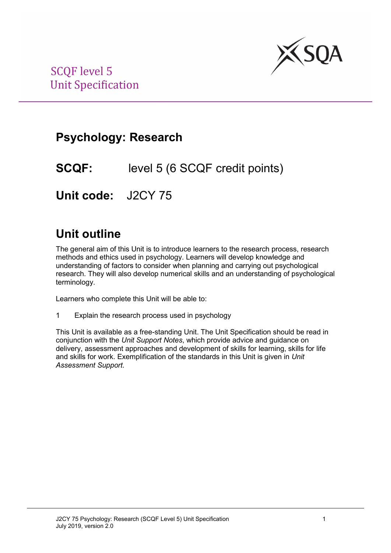

# **Psychology: Research**

**SCQF:** level 5 (6 SCQF credit points)

**Unit code:** J2CY 75

# **Unit outline**

The general aim of this Unit is to introduce learners to the research process, research methods and ethics used in psychology. Learners will develop knowledge and understanding of factors to consider when planning and carrying out psychological research. They will also develop numerical skills and an understanding of psychological terminology.

Learners who complete this Unit will be able to:

1 Explain the research process used in psychology

This Unit is available as a free-standing Unit. The Unit Specification should be read in conjunction with the *Unit Support Notes*, which provide advice and guidance on delivery, assessment approaches and development of skills for learning, skills for life and skills for work. Exemplification of the standards in this Unit is given in *Unit Assessment Support*.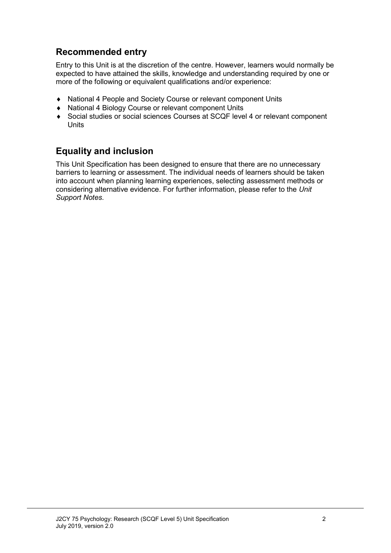### **Recommended entry**

Entry to this Unit is at the discretion of the centre. However, learners would normally be expected to have attained the skills, knowledge and understanding required by one or more of the following or equivalent qualifications and/or experience:

- ♦ National 4 People and Society Course or relevant component Units
- ♦ National 4 Biology Course or relevant component Units
- ♦ Social studies or social sciences Courses at SCQF level 4 or relevant component Units

### **Equality and inclusion**

This Unit Specification has been designed to ensure that there are no unnecessary barriers to learning or assessment. The individual needs of learners should be taken into account when planning learning experiences, selecting assessment methods or considering alternative evidence. For further information, please refer to the *Unit Support Notes.*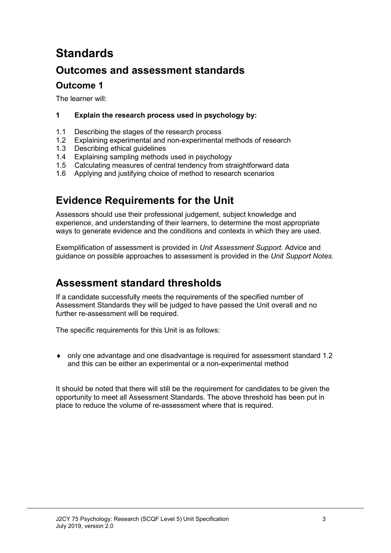# **Standards**

### **Outcomes and assessment standards**

### **Outcome 1**

The learner will:

### **1 Explain the research process used in psychology by:**

- 1.1 Describing the stages of the research process<br>1.2 Explaining experimental and non-experimental
- 1.2 Explaining experimental and non-experimental methods of research<br>1.3 Describing ethical quidelines
- 1.3 Describing ethical guidelines<br>1.4 Explaining sampling methods
- 1.4 Explaining sampling methods used in psychology<br>1.5 Calculating measures of central tendency from str
- 1.5 Calculating measures of central tendency from straightforward data<br>1.6 Applying and justifying choice of method to research scenarios
- Applying and justifying choice of method to research scenarios

## **Evidence Requirements for the Unit**

Assessors should use their professional judgement, subject knowledge and experience, and understanding of their learners, to determine the most appropriate ways to generate evidence and the conditions and contexts in which they are used.

Exemplification of assessment is provided in *Unit Assessment Support*. Advice and guidance on possible approaches to assessment is provided in the *Unit Support Notes*.

### **Assessment standard thresholds**

If a candidate successfully meets the requirements of the specified number of Assessment Standards they will be judged to have passed the Unit overall and no further re-assessment will be required.

The specific requirements for this Unit is as follows:

• only one advantage and one disadvantage is required for assessment standard 1.2 and this can be either an experimental or a non-experimental method

It should be noted that there will still be the requirement for candidates to be given the opportunity to meet all Assessment Standards. The above threshold has been put in place to reduce the volume of re-assessment where that is required.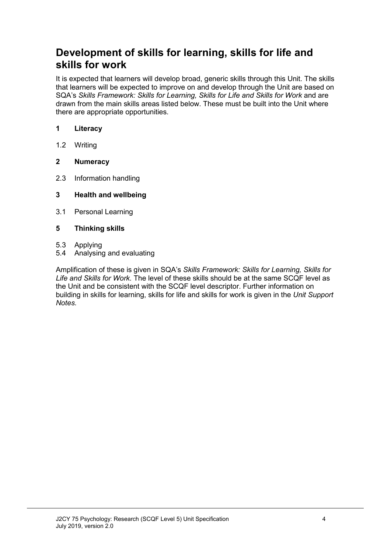### **Development of skills for learning, skills for life and skills for work**

It is expected that learners will develop broad, generic skills through this Unit. The skills that learners will be expected to improve on and develop through the Unit are based on SQA's Skills Framework: Skills for Learning, Skills for Life and Skills for Work and are drawn from the main skills areas listed below. These must be built into the Unit where there are appropriate opportunities.

### **1 Literacy**

1.2 Writing

### **2 Numeracy**

- 2.3 Information handling
- **3 Health and wellbeing**
- 3.1 Personal Learning

### **5 Thinking skills**

- 5.3 Applying
- 5.4 Analysing and evaluating

Amplification of these is given in SQA's *Skills Framework: Skills for Learning, Skills for Life and Skills for Work.* The level of these skills should be at the same SCQF level as the Unit and be consistent with the SCQF level descriptor. Further information on building in skills for learning, skills for life and skills for work is given in the *Unit Support Notes.*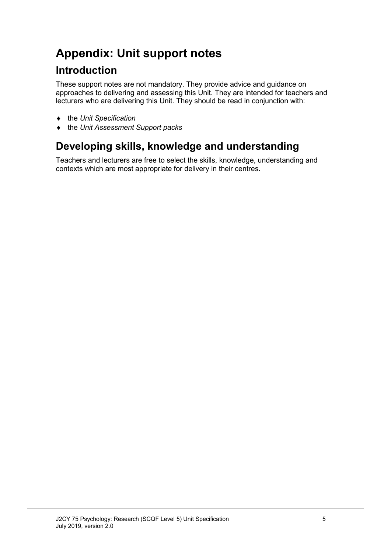# **Appendix: Unit support notes**

## **Introduction**

These support notes are not mandatory. They provide advice and guidance on approaches to delivering and assessing this Unit. They are intended for teachers and lecturers who are delivering this Unit. They should be read in conjunction with:

- ♦ the *Unit Specification*
- ♦ the *Unit Assessment Support packs*

# **Developing skills, knowledge and understanding**

Teachers and lecturers are free to select the skills, knowledge, understanding and contexts which are most appropriate for delivery in their centres.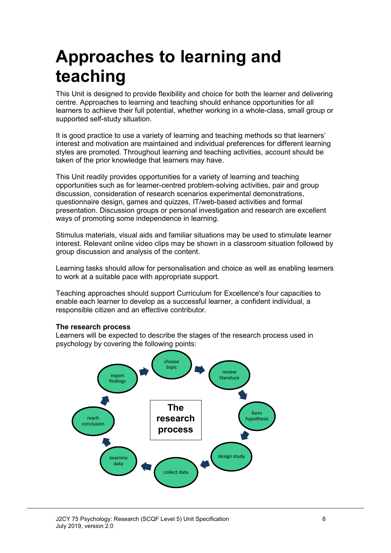# **Approaches to learning and teaching**

This Unit is designed to provide flexibility and choice for both the learner and delivering centre. Approaches to learning and teaching should enhance opportunities for all learners to achieve their full potential, whether working in a whole-class, small group or supported self-study situation.

It is good practice to use a variety of learning and teaching methods so that learners' interest and motivation are maintained and individual preferences for different learning styles are promoted. Throughout learning and teaching activities, account should be taken of the prior knowledge that learners may have.

This Unit readily provides opportunities for a variety of learning and teaching opportunities such as for learner-centred problem-solving activities, pair and group discussion, consideration of research scenarios experimental demonstrations, questionnaire design, games and quizzes, IT/web-based activities and formal presentation. Discussion groups or personal investigation and research are excellent ways of promoting some independence in learning.

Stimulus materials, visual aids and familiar situations may be used to stimulate learner interest. Relevant online video clips may be shown in a classroom situation followed by group discussion and analysis of the content.

Learning tasks should allow for personalisation and choice as well as enabling learners to work at a suitable pace with appropriate support.

Teaching approaches should support Curriculum for Excellence's four capacities to enable each learner to develop as a successful learner, a confident individual, a responsible citizen and an effective contributor.

#### **The research process**

Learners will be expected to describe the stages of the research process used in psychology by covering the following points:

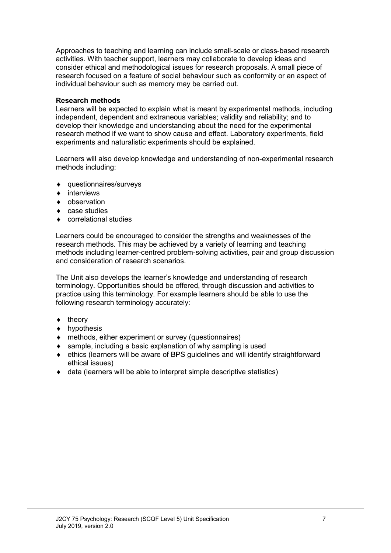Approaches to teaching and learning can include small-scale or class-based research activities. With teacher support, learners may collaborate to develop ideas and consider ethical and methodological issues for research proposals. A small piece of research focused on a feature of social behaviour such as conformity or an aspect of individual behaviour such as memory may be carried out.

### **Research methods**

Learners will be expected to explain what is meant by experimental methods, including independent, dependent and extraneous variables; validity and reliability; and to develop their knowledge and understanding about the need for the experimental research method if we want to show cause and effect. Laboratory experiments, field experiments and naturalistic experiments should be explained.

Learners will also develop knowledge and understanding of non-experimental research methods including:

- ♦ questionnaires/surveys
- ♦ interviews
- ♦ observation
- ♦ case studies
- ♦ correlational studies

Learners could be encouraged to consider the strengths and weaknesses of the research methods. This may be achieved by a variety of learning and teaching methods including learner-centred problem-solving activities, pair and group discussion and consideration of research scenarios.

The Unit also develops the learner's knowledge and understanding of research terminology. Opportunities should be offered, through discussion and activities to practice using this terminology. For example learners should be able to use the following research terminology accurately:

- ♦ theory
- ♦ hypothesis
- ♦ methods, either experiment or survey (questionnaires)
- ♦ sample, including a basic explanation of why sampling is used
- ♦ ethics (learners will be aware of BPS guidelines and will identify straightforward ethical issues)
- ♦ data (learners will be able to interpret simple descriptive statistics)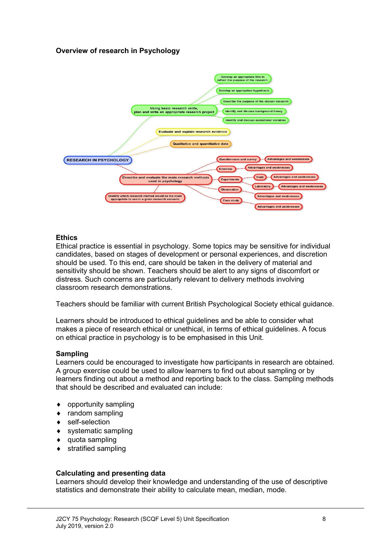### **Overview of research in Psychology**



#### **Ethics**

Ethical practice is essential in psychology. Some topics may be sensitive for individual candidates, based on stages of development or personal experiences, and discretion should be used. To this end, care should be taken in the delivery of material and sensitivity should be shown. Teachers should be alert to any signs of discomfort or distress. Such concerns are particularly relevant to delivery methods involving classroom research demonstrations.

Teachers should be familiar with current British Psychological Society ethical guidance.

Learners should be introduced to ethical guidelines and be able to consider what makes a piece of research ethical or unethical, in terms of ethical guidelines. A focus on ethical practice in psychology is to be emphasised in this Unit.

#### **Sampling**

Learners could be encouraged to investigate how participants in research are obtained. A group exercise could be used to allow learners to find out about sampling or by learners finding out about a method and reporting back to the class. Sampling methods that should be described and evaluated can include:

- ♦ opportunity sampling
- ♦ random sampling
- ♦ self-selection
- ♦ systematic sampling
- ♦ quota sampling
- ♦ stratified sampling

#### **Calculating and presenting data**

Learners should develop their knowledge and understanding of the use of descriptive statistics and demonstrate their ability to calculate mean, median, mode.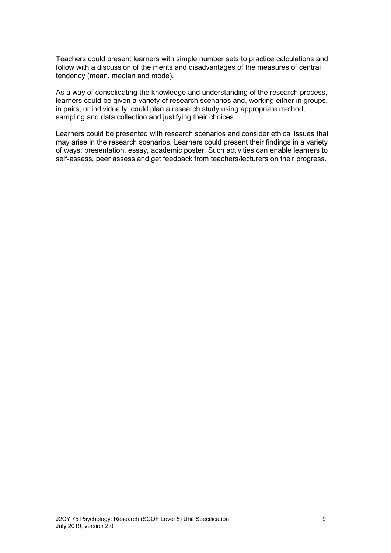Teachers could present learners with simple number sets to practice calculations and follow with a discussion of the merits and disadvantages of the measures of central tendency (mean, median and mode).

As a way of consolidating the knowledge and understanding of the research process, learners could be given a variety of research scenarios and, working either in groups, in pairs, or individually, could plan a research study using appropriate method, sampling and data collection and justifying their choices.

Learners could be presented with research scenarios and consider ethical issues that may arise in the research scenarios. Learners could present their findings in a variety of ways: presentation, essay, academic poster. Such activities can enable learners to self-assess, peer assess and get feedback from teachers/lecturers on their progress.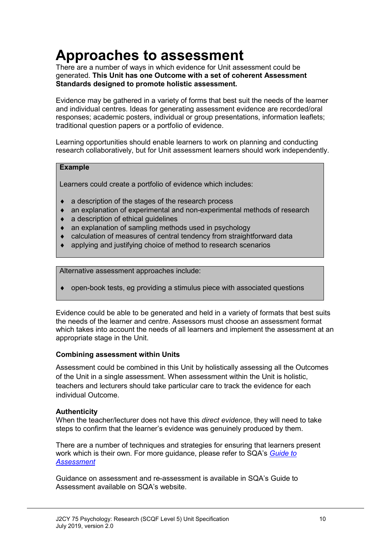# **Approaches to assessment**

There are a number of ways in which evidence for Unit assessment could be generated. **This Unit has one Outcome with a set of coherent Assessment Standards designed to promote holistic assessment.**

Evidence may be gathered in a variety of forms that best suit the needs of the learner and individual centres. Ideas for generating assessment evidence are recorded/oral responses; academic posters, individual or group presentations, information leaflets; traditional question papers or a portfolio of evidence.

Learning opportunities should enable learners to work on planning and conducting research collaboratively, but for Unit assessment learners should work independently.

#### **Example**

Learners could create a portfolio of evidence which includes:

- ♦ a description of the stages of the research process
- ♦ an explanation of experimental and non-experimental methods of research
- ♦ a description of ethical guidelines
- ♦ an explanation of sampling methods used in psychology
- calculation of measures of central tendency from straightforward data
- applying and justifying choice of method to research scenarios

Alternative assessment approaches include:

♦ open-book tests, eg providing a stimulus piece with associated questions

Evidence could be able to be generated and held in a variety of formats that best suits the needs of the learner and centre. Assessors must choose an assessment format which takes into account the needs of all learners and implement the assessment at an appropriate stage in the Unit.

#### **Combining assessment within Units**

Assessment could be combined in this Unit by holistically assessing all the Outcomes of the Unit in a single assessment. When assessment within the Unit is holistic, teachers and lecturers should take particular care to track the evidence for each individual Outcome.

#### **Authenticity**

When the teacher/lecturer does not have this *direct evidence*, they will need to take steps to confirm that the learner's evidence was genuinely produced by them.

There are a number of techniques and strategies for ensuring that learners present work which is their own. For more guidance, please refer to SQA's *Guide to Assessment*

Guidance on assessment and re-assessment is available in SQA's Guide to Assessment available on SQA's website.